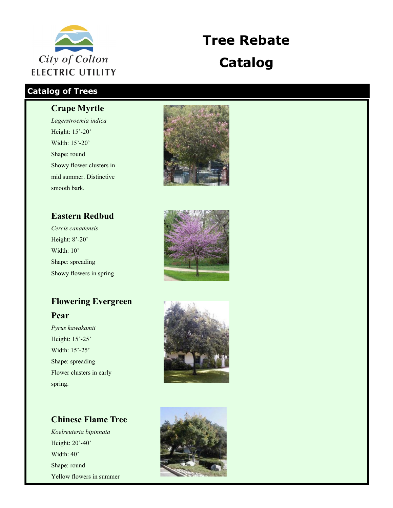

# **Tree Rebate Catalog**

### **Catalog of Trees**

#### **Crape Myrtle**

*Lagerstroemia indica* Height: 15'-20' Width: 15'-20' Shape: round Showy flower clusters in mid summer. Distinctive smooth bark.

# **Eastern Redbud**

*Cercis canadensis* Height: 8'-20' Width: 10' Shape: spreading Showy flowers in spring

## **Flowering Evergreen**

#### **Pear**

*Pyrus kawakamii* Height: 15'-25' Width: 15'-25' Shape: spreading Flower clusters in early spring.







### **Chinese Flame Tree**

*Koelreuteria bipinnata* Height: 20'-40' Width: 40' Shape: round Yellow flowers in summer

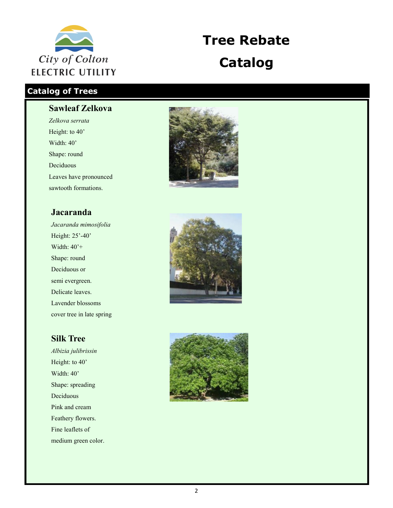

# **Tree Rebate Catalog**

### **Catalog of Trees**

#### **Sawleaf Zelkova**

*Zelkova serrata* Height: to 40' Width: 40' Shape: round Deciduous Leaves have pronounced sawtooth formations.

#### **Jacaranda**

*Jacaranda mimosifolia* Height: 25'-40' Width: 40'+ Shape: round Deciduous or semi evergreen. Delicate leaves. Lavender blossoms cover tree in late spring

#### **Silk Tree**

*Albizia julibrissin* Height: to 40' Width: 40' Shape: spreading Deciduous Pink and cream Feathery flowers. Fine leaflets of medium green color.